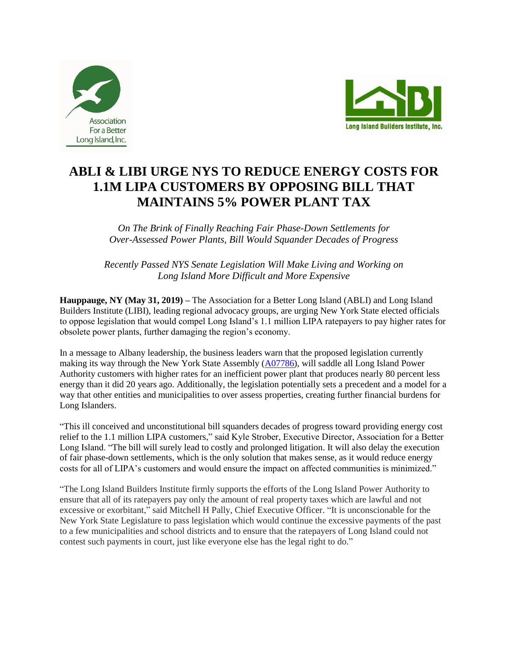



## **ABLI & LIBI URGE NYS TO REDUCE ENERGY COSTS FOR 1.1M LIPA CUSTOMERS BY OPPOSING BILL THAT MAINTAINS 5% POWER PLANT TAX**

*On The Brink of Finally Reaching Fair Phase-Down Settlements for Over-Assessed Power Plants, Bill Would Squander Decades of Progress*

*Recently Passed NYS Senate Legislation Will Make Living and Working on Long Island More Difficult and More Expensive*

**Hauppauge, NY (May 31, 2019) –** The Association for a Better Long Island (ABLI) and Long Island Builders Institute (LIBI), leading regional advocacy groups, are urging New York State elected officials to oppose legislation that would compel Long Island's 1.1 million LIPA ratepayers to pay higher rates for obsolete power plants, further damaging the region's economy.

In a message to Albany leadership, the business leaders warn that the proposed legislation currently making its way through the New York State Assembly [\(A07786\)](https://nyassembly.gov/leg/?bn=A07786&term=2019), will saddle all Long Island Power Authority customers with higher rates for an inefficient power plant that produces nearly 80 percent less energy than it did 20 years ago. Additionally, the legislation potentially sets a precedent and a model for a way that other entities and municipalities to over assess properties, creating further financial burdens for Long Islanders.

"This ill conceived and unconstitutional bill squanders decades of progress toward providing energy cost relief to the 1.1 million LIPA customers," said Kyle Strober, Executive Director, Association for a Better Long Island. "The bill will surely lead to costly and prolonged litigation. It will also delay the execution of fair phase-down settlements, which is the only solution that makes sense, as it would reduce energy costs for all of LIPA's customers and would ensure the impact on affected communities is minimized."

"The Long Island Builders Institute firmly supports the efforts of the Long Island Power Authority to ensure that all of its ratepayers pay only the amount of real property taxes which are lawful and not excessive or exorbitant," said Mitchell H Pally, Chief Executive Officer. "It is unconscionable for the New York State Legislature to pass legislation which would continue the excessive payments of the past to a few municipalities and school districts and to ensure that the ratepayers of Long Island could not contest such payments in court, just like everyone else has the legal right to do."